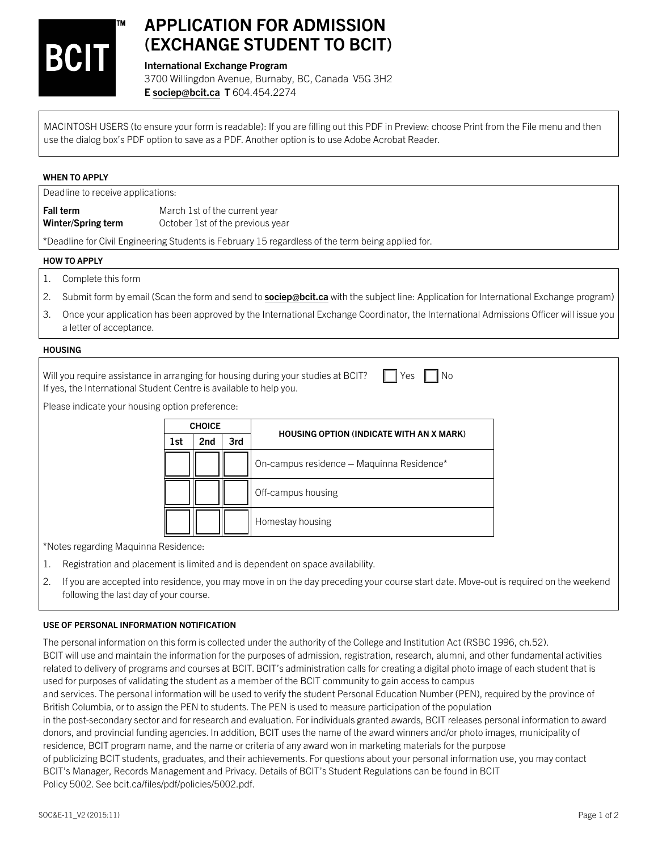

# APPLICATION FOR ADMISSION (EXCHANGE STUDENT TO BCIT)

## International Exchange Program

3700 Willingdon Avenue, Burnaby, BC, Canada V5G 3H2 [E sociep@bcit.ca](mailto:sociep@bcit.ca) T 604.454.2274

MACINTOSH USERS (to ensure your form is readable): If you are filling out this PDF in Preview: choose Print from the File menu and then use the dialog box's PDF option to save as a PDF. Another option is to use Adobe Acrobat Reader.

# WHEN TO APPLY

Deadline to receive applications:

**Fall term** March 1st of the current year Winter/Spring term **October 1st of the previous year** 

\*Deadline for Civil Engineering Students is February 15 regardless of the term being applied for.

### HOW TO APPLY

- 1. Complete this form
- 2. Submit form by email (Scan the form and send to [sociep@bcit.ca](mailto:sociep@bcit.ca) with the subject line: Application for International Exchange program)
- 3. Once your application has been approved by the International Exchange Coordinator, the International Admissions Officer will issue you a letter of acceptance.

#### **HOUSING**

Will you require assistance in arranging for housing during your studies at BCIT?  $\Box$  Yes  $\Box$  No If yes, the International Student Centre is available to help you.

Please indicate your housing option preference:

| <b>CHOICE</b> |                 |     |                                           |  |  |  |  |  |  |
|---------------|-----------------|-----|-------------------------------------------|--|--|--|--|--|--|
| 1st           | 2 <sub>nd</sub> | 3rd | HOUSING OPTION (INDICATE WITH AN X MARK)  |  |  |  |  |  |  |
|               |                 |     | On-campus residence - Maquinna Residence* |  |  |  |  |  |  |
|               |                 |     | Off-campus housing                        |  |  |  |  |  |  |
|               |                 |     | Homestay housing                          |  |  |  |  |  |  |

\*Notes regarding Maquinna Residence:

- 1. Registration and placement is limited and is dependent on space availability.
- 2. If you are accepted into residence, you may move in on the day preceding your course start date. Move-out is required on the weekend following the last day of your course.

# USE OF PERSONAL INFORMATION NOTIFICATION

The personal information on this form is collected under the authority of the College and Institution Act (RSBC 1996, ch.52). BCIT will use and maintain the information for the purposes of admission, registration, research, alumni, and other fundamental activities related to delivery of programs and courses at BCIT. BCIT's administration calls for creating a digital photo image of each student that is used for purposes of validating the student as a member of the BCIT community to gain access to campus and services. The personal information will be used to verify the student Personal Education Number (PEN), required by the province of British Columbia, or to assign the PEN to students. The PEN is used to measure participation of the population in the post-secondary sector and for research and evaluation. For individuals granted awards, BCIT releases personal information to award donors, and provincial funding agencies. In addition, BCIT uses the name of the award winners and/or photo images, municipality of residence, BCIT program name, and the name or criteria of any award won in marketing materials for the purpose of publicizing BCIT students, graduates, and their achievements. For questions about your personal information use, you may contact BCIT's Manager, Records Management and Privacy. Details of BCIT's Student Regulations can be found in BCIT Policy 5002. See bcit.ca/files/pdf/policies/5002.pdf.